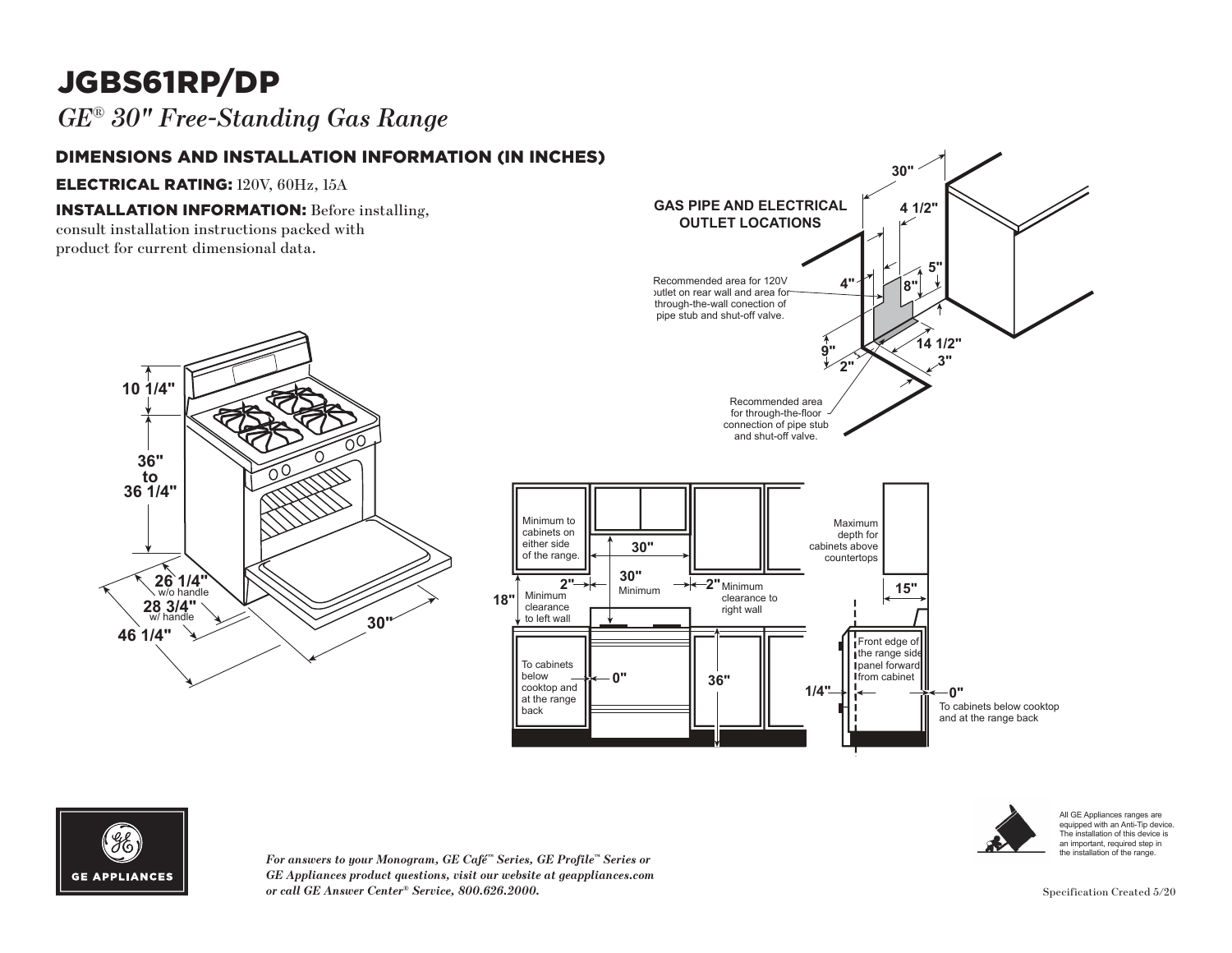# JGBS61RP/DP

## *GE*® *30" Free-Standing Gas Range*

### DIMENSIONS AND INSTALLATION INFORMATION (IN INCHES)

**3R 26 1/4"** w/o handle

**28 3/4"** w/ handle **26 1/4** 

**46 1/4" 30"** 

28 3/4" **26 1/4"**<br>
w/o handle

**10 1/4"**

**36" to 36 1/4"** **30" 46 1/4"**

ELECTRICAL RATING: 120V, 60Hz, 15A

#### **INSTALLATION INFORMATION:** Before installing,

**10 1/4"** consult installation instructions packed with product for current dimensional data.





 $\overline{F}$ or answers to your Monogram, GE Café™ Series, GE Profile™ Series or *GE Appliances product questions, visit our website at geappliances.com or call GE Answer Center® Service, 800.626.2000.* Specification Created 5/20

All GE Appliances ranges are equipped with an Anti-Tip device. The installation of this device is an important, required step in the installation of the range.